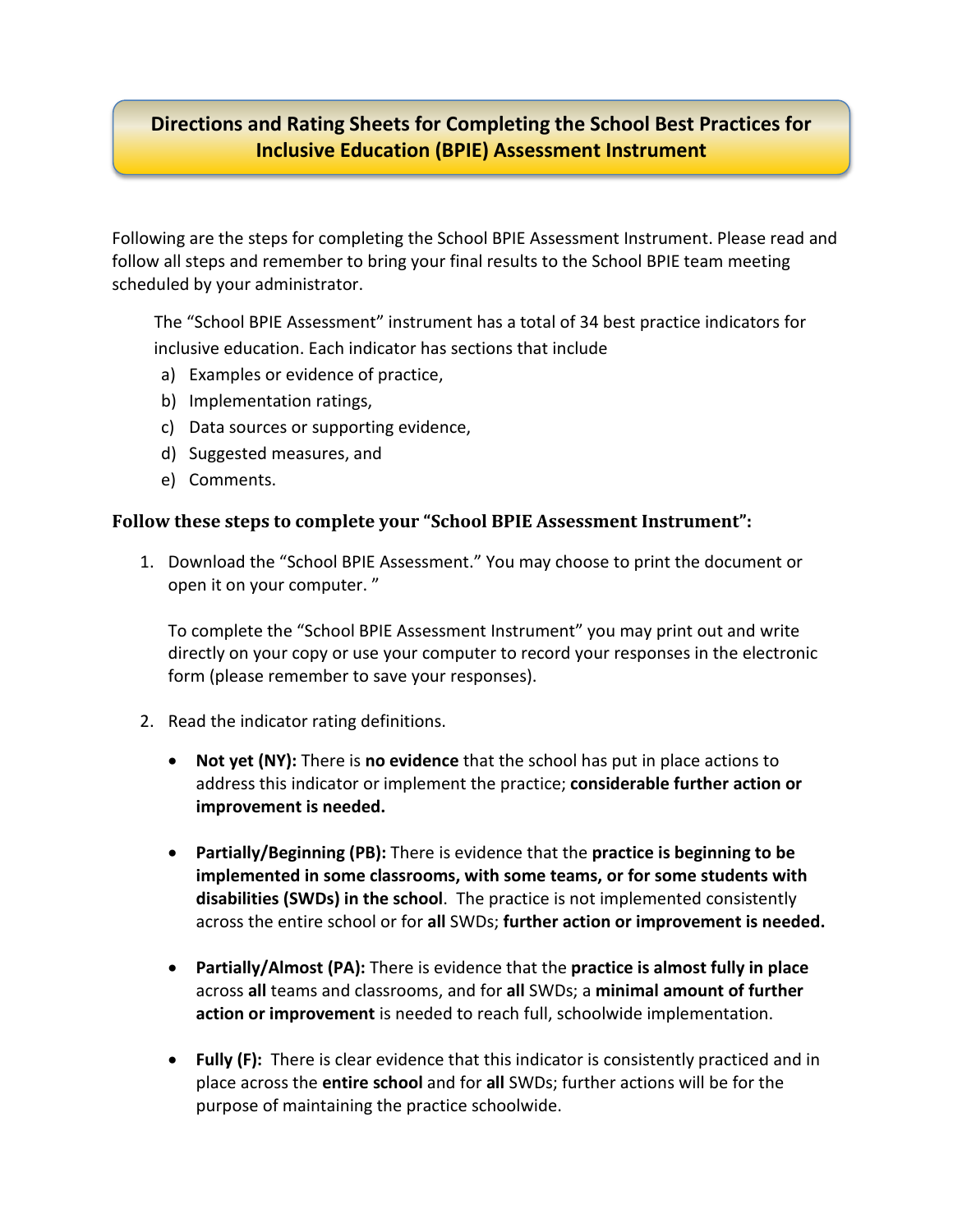## **Directions and Rating Sheets for Completing the School Best Practices for Inclusive Education (BPIE) Assessment Instrument**

Following are the steps for completing the School BPIE Assessment Instrument. Please read and follow all steps and remember to bring your final results to the School BPIE team meeting scheduled by your administrator.

The "School BPIE Assessment" instrument has a total of 34 best practice indicators for inclusive education. Each indicator has sections that include

- a) Examples or evidence of practice,
- b) Implementation ratings,
- c) Data sources or supporting evidence,
- d) Suggested measures, and
- e) Comments.

## **Follow these steps to complete your "School BPIE Assessment Instrument":**

1. Download the "School BPIE Assessment." You may choose to print the document or open it on your computer. "

To complete the "School BPIE Assessment Instrument" you may print out and write directly on your copy or use your computer to record your responses in the electronic form (please remember to save your responses).

- 2. Read the indicator rating definitions.
	- **Not yet (NY):** There is **no evidence** that the school has put in place actions to address this indicator or implement the practice; **considerable further action or improvement is needed.**
	- **Partially/Beginning (PB):** There is evidence that the **practice is beginning to be implemented in some classrooms, with some teams, or for some students with disabilities (SWDs) in the school**. The practice is not implemented consistently across the entire school or for **all** SWDs; **further action or improvement is needed.**
	- **Partially/Almost (PA):** There is evidence that the **practice is almost fully in place**  across **all** teams and classrooms, and for **all** SWDs; a **minimal amount of further action or improvement** is needed to reach full, schoolwide implementation.
	- **Fully (F):** There is clear evidence that this indicator is consistently practiced and in place across the **entire school** and for **all** SWDs; further actions will be for the purpose of maintaining the practice schoolwide.